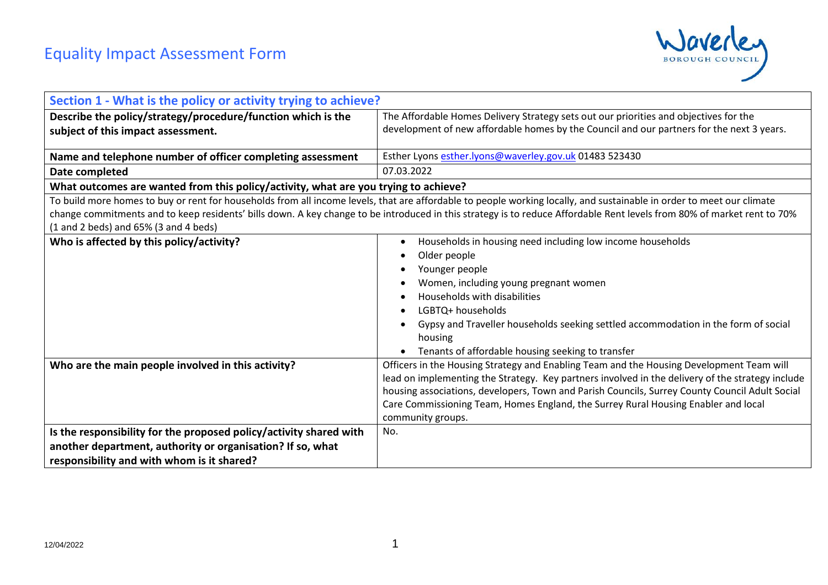

| Section 1 - What is the policy or activity trying to achieve?                       |                                                                                                                                                                         |
|-------------------------------------------------------------------------------------|-------------------------------------------------------------------------------------------------------------------------------------------------------------------------|
| Describe the policy/strategy/procedure/function which is the                        | The Affordable Homes Delivery Strategy sets out our priorities and objectives for the                                                                                   |
| subject of this impact assessment.                                                  | development of new affordable homes by the Council and our partners for the next 3 years.                                                                               |
|                                                                                     |                                                                                                                                                                         |
| Name and telephone number of officer completing assessment                          | Esther Lyons esther.lyons@waverley.gov.uk 01483 523430                                                                                                                  |
| Date completed                                                                      | 07.03.2022                                                                                                                                                              |
| What outcomes are wanted from this policy/activity, what are you trying to achieve? |                                                                                                                                                                         |
|                                                                                     | To build more homes to buy or rent for households from all income levels, that are affordable to people working locally, and sustainable in order to meet our climate   |
|                                                                                     | change commitments and to keep residents' bills down. A key change to be introduced in this strategy is to reduce Affordable Rent levels from 80% of market rent to 70% |
| $(1$ and 2 beds) and 65% $(3$ and 4 beds)                                           |                                                                                                                                                                         |
| Who is affected by this policy/activity?                                            | Households in housing need including low income households                                                                                                              |
|                                                                                     | Older people                                                                                                                                                            |
|                                                                                     | Younger people                                                                                                                                                          |
|                                                                                     | Women, including young pregnant women                                                                                                                                   |
|                                                                                     | Households with disabilities                                                                                                                                            |
|                                                                                     | LGBTQ+ households                                                                                                                                                       |
|                                                                                     | Gypsy and Traveller households seeking settled accommodation in the form of social                                                                                      |
|                                                                                     | housing                                                                                                                                                                 |
|                                                                                     | Tenants of affordable housing seeking to transfer                                                                                                                       |
| Who are the main people involved in this activity?                                  | Officers in the Housing Strategy and Enabling Team and the Housing Development Team will                                                                                |
|                                                                                     | lead on implementing the Strategy. Key partners involved in the delivery of the strategy include                                                                        |
|                                                                                     | housing associations, developers, Town and Parish Councils, Surrey County Council Adult Social                                                                          |
|                                                                                     | Care Commissioning Team, Homes England, the Surrey Rural Housing Enabler and local                                                                                      |
|                                                                                     | community groups.                                                                                                                                                       |
| Is the responsibility for the proposed policy/activity shared with                  | No.                                                                                                                                                                     |
| another department, authority or organisation? If so, what                          |                                                                                                                                                                         |
| responsibility and with whom is it shared?                                          |                                                                                                                                                                         |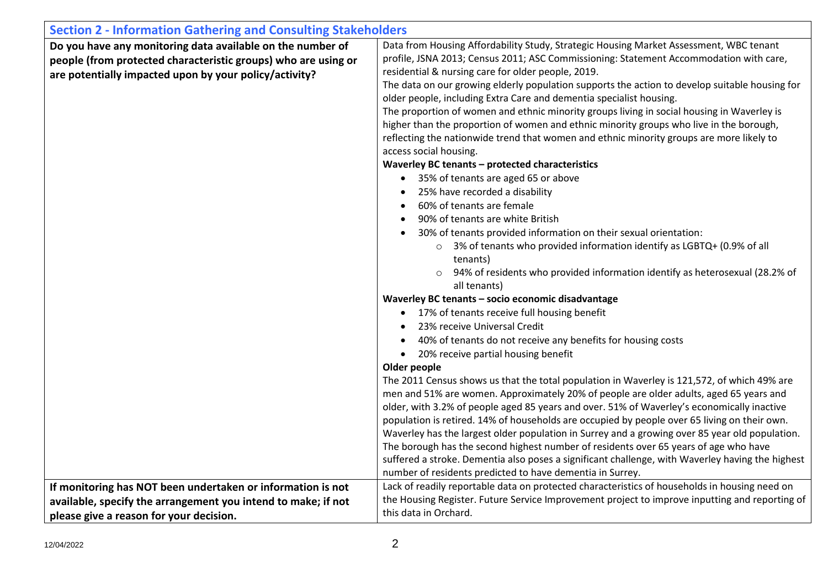| <b>Section 2 - Information Gathering and Consulting Stakeholders</b>                                                                                                                   |                                                                                                                                                                                                                                                                                                                                                                                                                                                                                                                                                                                                                                                                                                                                                                                                                                                                                                                                                                                                                                                                                                                                                                                                                                                                                                                                                                                                                                                                                                                                                                                                                                                                                                                                                                                                                                                                                                                                                                       |  |  |
|----------------------------------------------------------------------------------------------------------------------------------------------------------------------------------------|-----------------------------------------------------------------------------------------------------------------------------------------------------------------------------------------------------------------------------------------------------------------------------------------------------------------------------------------------------------------------------------------------------------------------------------------------------------------------------------------------------------------------------------------------------------------------------------------------------------------------------------------------------------------------------------------------------------------------------------------------------------------------------------------------------------------------------------------------------------------------------------------------------------------------------------------------------------------------------------------------------------------------------------------------------------------------------------------------------------------------------------------------------------------------------------------------------------------------------------------------------------------------------------------------------------------------------------------------------------------------------------------------------------------------------------------------------------------------------------------------------------------------------------------------------------------------------------------------------------------------------------------------------------------------------------------------------------------------------------------------------------------------------------------------------------------------------------------------------------------------------------------------------------------------------------------------------------------------|--|--|
| Do you have any monitoring data available on the number of<br>people (from protected characteristic groups) who are using or<br>are potentially impacted upon by your policy/activity? | Data from Housing Affordability Study, Strategic Housing Market Assessment, WBC tenant<br>profile, JSNA 2013; Census 2011; ASC Commissioning: Statement Accommodation with care,<br>residential & nursing care for older people, 2019.<br>The data on our growing elderly population supports the action to develop suitable housing for<br>older people, including Extra Care and dementia specialist housing.<br>The proportion of women and ethnic minority groups living in social housing in Waverley is<br>higher than the proportion of women and ethnic minority groups who live in the borough,<br>reflecting the nationwide trend that women and ethnic minority groups are more likely to<br>access social housing.<br>Waverley BC tenants - protected characteristics<br>• 35% of tenants are aged 65 or above<br>25% have recorded a disability<br>60% of tenants are female<br>90% of tenants are white British<br>30% of tenants provided information on their sexual orientation:<br>3% of tenants who provided information identify as LGBTQ+ (0.9% of all<br>$\circ$<br>tenants)<br>94% of residents who provided information identify as heterosexual (28.2% of<br>all tenants)<br>Waverley BC tenants - socio economic disadvantage<br>• 17% of tenants receive full housing benefit<br>23% receive Universal Credit<br>40% of tenants do not receive any benefits for housing costs<br>20% receive partial housing benefit<br>$\bullet$<br>Older people<br>The 2011 Census shows us that the total population in Waverley is 121,572, of which 49% are<br>men and 51% are women. Approximately 20% of people are older adults, aged 65 years and<br>older, with 3.2% of people aged 85 years and over. 51% of Waverley's economically inactive<br>population is retired. 14% of households are occupied by people over 65 living on their own.<br>Waverley has the largest older population in Surrey and a growing over 85 year old population. |  |  |
|                                                                                                                                                                                        | The borough has the second highest number of residents over 65 years of age who have<br>suffered a stroke. Dementia also poses a significant challenge, with Waverley having the highest                                                                                                                                                                                                                                                                                                                                                                                                                                                                                                                                                                                                                                                                                                                                                                                                                                                                                                                                                                                                                                                                                                                                                                                                                                                                                                                                                                                                                                                                                                                                                                                                                                                                                                                                                                              |  |  |
|                                                                                                                                                                                        | number of residents predicted to have dementia in Surrey.                                                                                                                                                                                                                                                                                                                                                                                                                                                                                                                                                                                                                                                                                                                                                                                                                                                                                                                                                                                                                                                                                                                                                                                                                                                                                                                                                                                                                                                                                                                                                                                                                                                                                                                                                                                                                                                                                                             |  |  |
| If monitoring has NOT been undertaken or information is not                                                                                                                            | Lack of readily reportable data on protected characteristics of households in housing need on<br>the Housing Register. Future Service Improvement project to improve inputting and reporting of                                                                                                                                                                                                                                                                                                                                                                                                                                                                                                                                                                                                                                                                                                                                                                                                                                                                                                                                                                                                                                                                                                                                                                                                                                                                                                                                                                                                                                                                                                                                                                                                                                                                                                                                                                       |  |  |
| available, specify the arrangement you intend to make; if not                                                                                                                          |                                                                                                                                                                                                                                                                                                                                                                                                                                                                                                                                                                                                                                                                                                                                                                                                                                                                                                                                                                                                                                                                                                                                                                                                                                                                                                                                                                                                                                                                                                                                                                                                                                                                                                                                                                                                                                                                                                                                                                       |  |  |
| please give a reason for your decision.                                                                                                                                                | this data in Orchard.                                                                                                                                                                                                                                                                                                                                                                                                                                                                                                                                                                                                                                                                                                                                                                                                                                                                                                                                                                                                                                                                                                                                                                                                                                                                                                                                                                                                                                                                                                                                                                                                                                                                                                                                                                                                                                                                                                                                                 |  |  |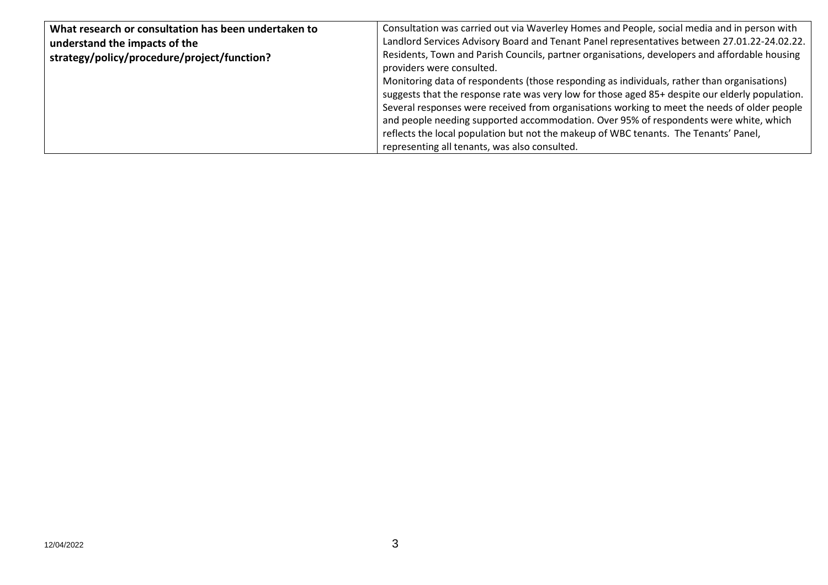| What research or consultation has been undertaken to | Consultation was carried out via Waverley Homes and People, social media and in person with                                |
|------------------------------------------------------|----------------------------------------------------------------------------------------------------------------------------|
| understand the impacts of the                        | Landlord Services Advisory Board and Tenant Panel representatives between 27.01.22-24.02.22.                               |
| strategy/policy/procedure/project/function?          | Residents, Town and Parish Councils, partner organisations, developers and affordable housing<br>providers were consulted. |
|                                                      | Monitoring data of respondents (those responding as individuals, rather than organisations)                                |
|                                                      | suggests that the response rate was very low for those aged 85+ despite our elderly population.                            |
|                                                      | Several responses were received from organisations working to meet the needs of older people                               |
|                                                      | and people needing supported accommodation. Over 95% of respondents were white, which                                      |
|                                                      | reflects the local population but not the makeup of WBC tenants. The Tenants' Panel,                                       |
|                                                      | representing all tenants, was also consulted.                                                                              |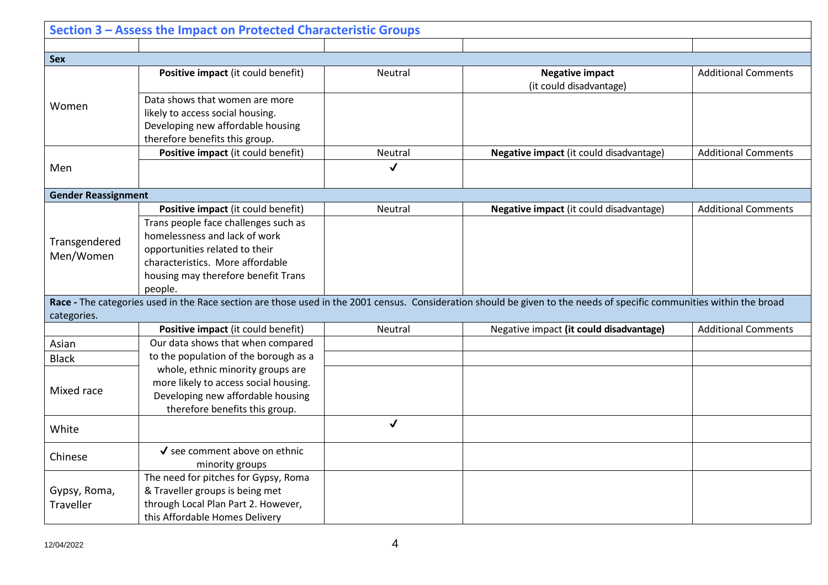|                            | Section 3 - Assess the Impact on Protected Characteristic Groups                                                                          |              |                                                                                                                                                                       |                            |
|----------------------------|-------------------------------------------------------------------------------------------------------------------------------------------|--------------|-----------------------------------------------------------------------------------------------------------------------------------------------------------------------|----------------------------|
|                            |                                                                                                                                           |              |                                                                                                                                                                       |                            |
| <b>Sex</b>                 |                                                                                                                                           |              |                                                                                                                                                                       |                            |
| Women                      | Positive impact (it could benefit)                                                                                                        | Neutral      | <b>Negative impact</b><br>(it could disadvantage)                                                                                                                     | <b>Additional Comments</b> |
|                            | Data shows that women are more<br>likely to access social housing.<br>Developing new affordable housing<br>therefore benefits this group. |              |                                                                                                                                                                       |                            |
|                            | Positive impact (it could benefit)                                                                                                        | Neutral      | Negative impact (it could disadvantage)                                                                                                                               | <b>Additional Comments</b> |
| Men                        |                                                                                                                                           | $\checkmark$ |                                                                                                                                                                       |                            |
| <b>Gender Reassignment</b> |                                                                                                                                           |              |                                                                                                                                                                       |                            |
|                            | Positive impact (it could benefit)                                                                                                        | Neutral      | Negative impact (it could disadvantage)                                                                                                                               | <b>Additional Comments</b> |
|                            | Trans people face challenges such as                                                                                                      |              |                                                                                                                                                                       |                            |
| Transgendered              | homelessness and lack of work                                                                                                             |              |                                                                                                                                                                       |                            |
| Men/Women                  | opportunities related to their                                                                                                            |              |                                                                                                                                                                       |                            |
|                            | characteristics. More affordable                                                                                                          |              |                                                                                                                                                                       |                            |
|                            | housing may therefore benefit Trans                                                                                                       |              |                                                                                                                                                                       |                            |
|                            | people.                                                                                                                                   |              |                                                                                                                                                                       |                            |
| categories.                |                                                                                                                                           |              | Race - The categories used in the Race section are those used in the 2001 census. Consideration should be given to the needs of specific communities within the broad |                            |
|                            | Positive impact (it could benefit)                                                                                                        | Neutral      | Negative impact (it could disadvantage)                                                                                                                               | <b>Additional Comments</b> |
| Asian                      | Our data shows that when compared                                                                                                         |              |                                                                                                                                                                       |                            |
| <b>Black</b>               | to the population of the borough as a                                                                                                     |              |                                                                                                                                                                       |                            |
|                            | whole, ethnic minority groups are                                                                                                         |              |                                                                                                                                                                       |                            |
| Mixed race                 | more likely to access social housing.                                                                                                     |              |                                                                                                                                                                       |                            |
|                            | Developing new affordable housing                                                                                                         |              |                                                                                                                                                                       |                            |
|                            | therefore benefits this group.                                                                                                            |              |                                                                                                                                                                       |                            |
| White                      |                                                                                                                                           | $\checkmark$ |                                                                                                                                                                       |                            |
| Chinese                    | √ see comment above on ethnic                                                                                                             |              |                                                                                                                                                                       |                            |
|                            | minority groups                                                                                                                           |              |                                                                                                                                                                       |                            |
|                            | The need for pitches for Gypsy, Roma                                                                                                      |              |                                                                                                                                                                       |                            |
| Gypsy, Roma,               | & Traveller groups is being met                                                                                                           |              |                                                                                                                                                                       |                            |
| Traveller                  | through Local Plan Part 2. However,                                                                                                       |              |                                                                                                                                                                       |                            |
|                            | this Affordable Homes Delivery                                                                                                            |              |                                                                                                                                                                       |                            |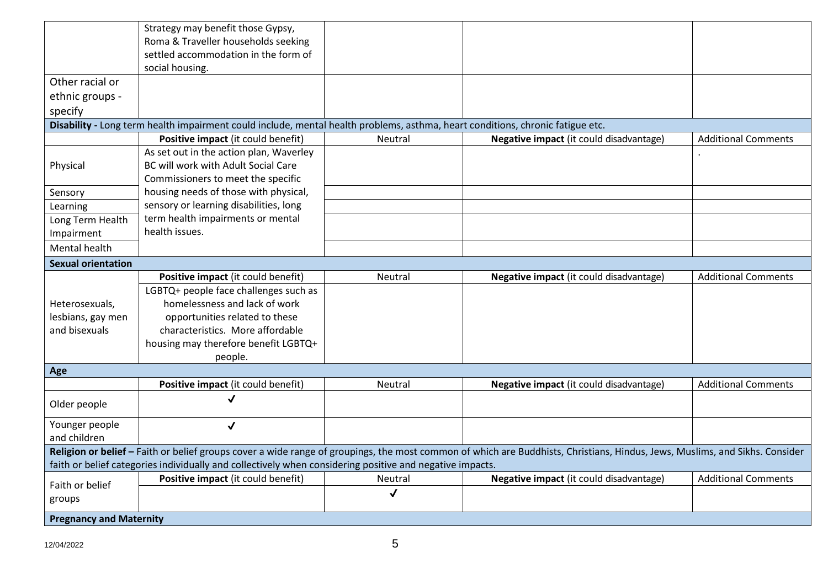|                                                                                                                                                                             | Strategy may benefit those Gypsy,<br>Roma & Traveller households seeking                                                       |              |                                         |                            |  |
|-----------------------------------------------------------------------------------------------------------------------------------------------------------------------------|--------------------------------------------------------------------------------------------------------------------------------|--------------|-----------------------------------------|----------------------------|--|
|                                                                                                                                                                             | settled accommodation in the form of                                                                                           |              |                                         |                            |  |
|                                                                                                                                                                             | social housing.                                                                                                                |              |                                         |                            |  |
| Other racial or                                                                                                                                                             |                                                                                                                                |              |                                         |                            |  |
| ethnic groups -                                                                                                                                                             |                                                                                                                                |              |                                         |                            |  |
| specify                                                                                                                                                                     |                                                                                                                                |              |                                         |                            |  |
|                                                                                                                                                                             | Disability - Long term health impairment could include, mental health problems, asthma, heart conditions, chronic fatigue etc. |              |                                         |                            |  |
|                                                                                                                                                                             | Positive impact (it could benefit)                                                                                             | Neutral      | Negative impact (it could disadvantage) | <b>Additional Comments</b> |  |
|                                                                                                                                                                             | As set out in the action plan, Waverley                                                                                        |              |                                         |                            |  |
| Physical                                                                                                                                                                    | BC will work with Adult Social Care                                                                                            |              |                                         |                            |  |
|                                                                                                                                                                             | Commissioners to meet the specific                                                                                             |              |                                         |                            |  |
| Sensory                                                                                                                                                                     | housing needs of those with physical,                                                                                          |              |                                         |                            |  |
| Learning                                                                                                                                                                    | sensory or learning disabilities, long                                                                                         |              |                                         |                            |  |
| Long Term Health                                                                                                                                                            | term health impairments or mental                                                                                              |              |                                         |                            |  |
| Impairment                                                                                                                                                                  | health issues.                                                                                                                 |              |                                         |                            |  |
| Mental health                                                                                                                                                               |                                                                                                                                |              |                                         |                            |  |
| <b>Sexual orientation</b>                                                                                                                                                   |                                                                                                                                |              |                                         |                            |  |
|                                                                                                                                                                             | Positive impact (it could benefit)                                                                                             | Neutral      | Negative impact (it could disadvantage) | <b>Additional Comments</b> |  |
|                                                                                                                                                                             | LGBTQ+ people face challenges such as                                                                                          |              |                                         |                            |  |
| Heterosexuals,                                                                                                                                                              | homelessness and lack of work                                                                                                  |              |                                         |                            |  |
| lesbians, gay men                                                                                                                                                           | opportunities related to these                                                                                                 |              |                                         |                            |  |
| and bisexuals                                                                                                                                                               | characteristics. More affordable                                                                                               |              |                                         |                            |  |
|                                                                                                                                                                             | housing may therefore benefit LGBTQ+                                                                                           |              |                                         |                            |  |
|                                                                                                                                                                             | people.                                                                                                                        |              |                                         |                            |  |
| Age                                                                                                                                                                         |                                                                                                                                |              |                                         |                            |  |
|                                                                                                                                                                             | Positive impact (it could benefit)                                                                                             | Neutral      | Negative impact (it could disadvantage) | <b>Additional Comments</b> |  |
| Older people                                                                                                                                                                |                                                                                                                                |              |                                         |                            |  |
| Younger people                                                                                                                                                              | $\checkmark$                                                                                                                   |              |                                         |                            |  |
| and children                                                                                                                                                                |                                                                                                                                |              |                                         |                            |  |
| Religion or belief - Faith or belief groups cover a wide range of groupings, the most common of which are Buddhists, Christians, Hindus, Jews, Muslims, and Sikhs. Consider |                                                                                                                                |              |                                         |                            |  |
|                                                                                                                                                                             | faith or belief categories individually and collectively when considering positive and negative impacts.                       |              |                                         |                            |  |
| Faith or belief                                                                                                                                                             | Positive impact (it could benefit)                                                                                             | Neutral      | Negative impact (it could disadvantage) | <b>Additional Comments</b> |  |
| groups                                                                                                                                                                      |                                                                                                                                | $\checkmark$ |                                         |                            |  |
| <b>Pregnancy and Maternity</b>                                                                                                                                              |                                                                                                                                |              |                                         |                            |  |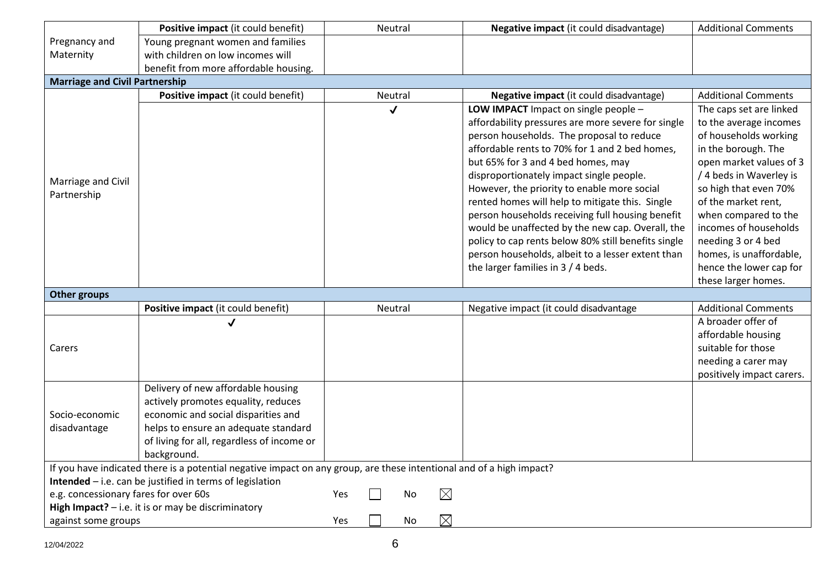|                                       | Positive impact (it could benefit)                                                                                   |     | Neutral      |    |             | Negative impact (it could disadvantage)             | <b>Additional Comments</b> |
|---------------------------------------|----------------------------------------------------------------------------------------------------------------------|-----|--------------|----|-------------|-----------------------------------------------------|----------------------------|
| Pregnancy and                         | Young pregnant women and families                                                                                    |     |              |    |             |                                                     |                            |
| Maternity                             | with children on low incomes will                                                                                    |     |              |    |             |                                                     |                            |
|                                       | benefit from more affordable housing.                                                                                |     |              |    |             |                                                     |                            |
| <b>Marriage and Civil Partnership</b> |                                                                                                                      |     |              |    |             |                                                     |                            |
|                                       | Positive impact (it could benefit)                                                                                   |     | Neutral      |    |             | Negative impact (it could disadvantage)             | <b>Additional Comments</b> |
|                                       |                                                                                                                      |     | $\checkmark$ |    |             | LOW IMPACT Impact on single people -                | The caps set are linked    |
|                                       |                                                                                                                      |     |              |    |             | affordability pressures are more severe for single  | to the average incomes     |
|                                       |                                                                                                                      |     |              |    |             | person households. The proposal to reduce           | of households working      |
|                                       |                                                                                                                      |     |              |    |             | affordable rents to 70% for 1 and 2 bed homes,      | in the borough. The        |
|                                       |                                                                                                                      |     |              |    |             | but 65% for 3 and 4 bed homes, may                  | open market values of 3    |
| Marriage and Civil                    |                                                                                                                      |     |              |    |             | disproportionately impact single people.            | / 4 beds in Waverley is    |
| Partnership                           |                                                                                                                      |     |              |    |             | However, the priority to enable more social         | so high that even 70%      |
|                                       |                                                                                                                      |     |              |    |             | rented homes will help to mitigate this. Single     | of the market rent,        |
|                                       |                                                                                                                      |     |              |    |             | person households receiving full housing benefit    | when compared to the       |
|                                       |                                                                                                                      |     |              |    |             | would be unaffected by the new cap. Overall, the    | incomes of households      |
|                                       |                                                                                                                      |     |              |    |             | policy to cap rents below 80% still benefits single | needing 3 or 4 bed         |
|                                       |                                                                                                                      |     |              |    |             | person households, albeit to a lesser extent than   | homes, is unaffordable,    |
|                                       |                                                                                                                      |     |              |    |             | the larger families in $3/4$ beds.                  | hence the lower cap for    |
|                                       |                                                                                                                      |     |              |    |             |                                                     | these larger homes.        |
| <b>Other groups</b>                   |                                                                                                                      |     |              |    |             |                                                     |                            |
|                                       | Positive impact (it could benefit)                                                                                   |     | Neutral      |    |             | Negative impact (it could disadvantage              | <b>Additional Comments</b> |
|                                       |                                                                                                                      |     |              |    |             |                                                     | A broader offer of         |
|                                       |                                                                                                                      |     |              |    |             |                                                     | affordable housing         |
| Carers                                |                                                                                                                      |     |              |    |             |                                                     | suitable for those         |
|                                       |                                                                                                                      |     |              |    |             |                                                     | needing a carer may        |
|                                       |                                                                                                                      |     |              |    |             |                                                     | positively impact carers.  |
|                                       | Delivery of new affordable housing                                                                                   |     |              |    |             |                                                     |                            |
|                                       | actively promotes equality, reduces                                                                                  |     |              |    |             |                                                     |                            |
| Socio-economic                        | economic and social disparities and                                                                                  |     |              |    |             |                                                     |                            |
| disadvantage                          | helps to ensure an adequate standard                                                                                 |     |              |    |             |                                                     |                            |
|                                       | of living for all, regardless of income or                                                                           |     |              |    |             |                                                     |                            |
|                                       | background.                                                                                                          |     |              |    |             |                                                     |                            |
|                                       | If you have indicated there is a potential negative impact on any group, are these intentional and of a high impact? |     |              |    |             |                                                     |                            |
|                                       | Intended - i.e. can be justified in terms of legislation                                                             |     |              |    |             |                                                     |                            |
| e.g. concessionary fares for over 60s |                                                                                                                      | Yes |              | No | $\boxtimes$ |                                                     |                            |
|                                       | <b>High Impact?</b> $-$ i.e. it is or may be discriminatory                                                          |     |              |    | $\boxtimes$ |                                                     |                            |
| against some groups                   |                                                                                                                      | Yes |              | No |             |                                                     |                            |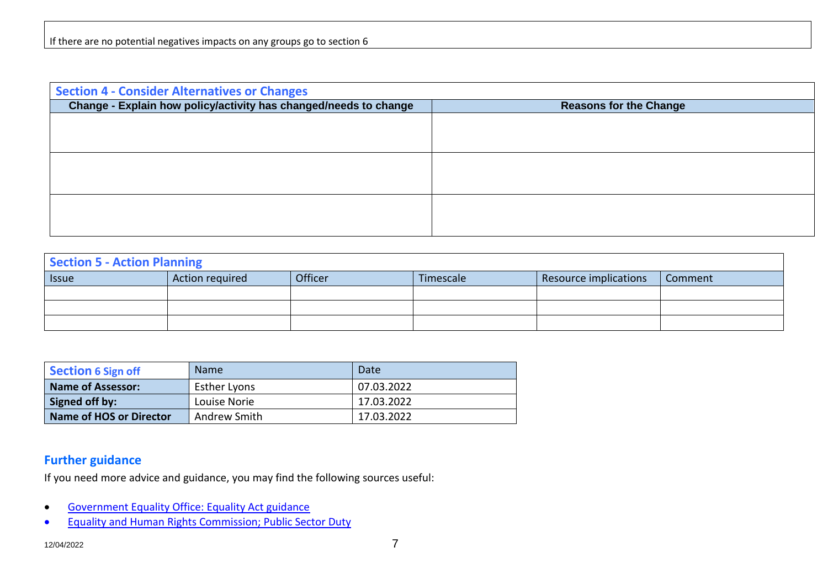| <b>Section 4 - Consider Alternatives or Changes</b>              |                               |  |  |  |
|------------------------------------------------------------------|-------------------------------|--|--|--|
| Change - Explain how policy/activity has changed/needs to change | <b>Reasons for the Change</b> |  |  |  |
|                                                                  |                               |  |  |  |
|                                                                  |                               |  |  |  |
|                                                                  |                               |  |  |  |
|                                                                  |                               |  |  |  |
|                                                                  |                               |  |  |  |
|                                                                  |                               |  |  |  |
|                                                                  |                               |  |  |  |
|                                                                  |                               |  |  |  |

| <b>Section 5 - Action Planning</b> |                 |         |           |                       |         |
|------------------------------------|-----------------|---------|-----------|-----------------------|---------|
| <b>Issue</b>                       | Action required | Officer | Timescale | Resource implications | Comment |
|                                    |                 |         |           |                       |         |
|                                    |                 |         |           |                       |         |
|                                    |                 |         |           |                       |         |

| Section 6 Sign off       | <b>Name</b>         | Date       |
|--------------------------|---------------------|------------|
| <b>Name of Assessor:</b> | <b>Esther Lyons</b> | 07.03.2022 |
| Signed off by:           | Louise Norie        | 17.03.2022 |
| Name of HOS or Director  | Andrew Smith        | 17.03.2022 |

## **Further guidance**

If you need more advice and guidance, you may find the following sources useful:

- [Government Equality Office: Equality Act guidance](http://homeoffice.gov.uk/publications/equalities/equality-act-publications/equality-act-guidance/)
- [Equality and Human Rights Commission; Public Sector Duty](https://www.equalityhumanrights.com/en/advice-and-guidance/public-sector-equality-duty)